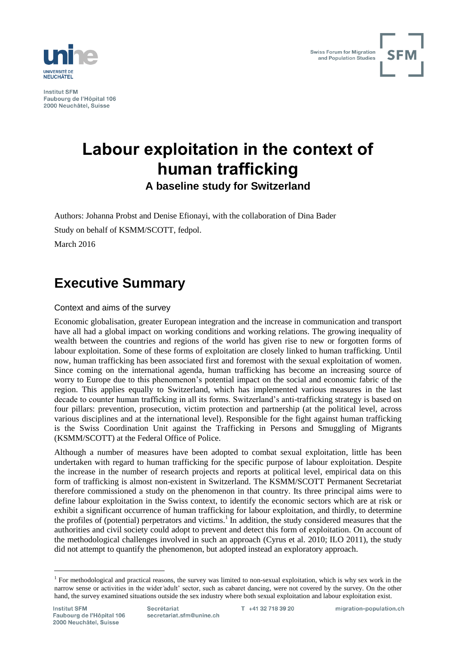

**Institut SEM** Faubourg de l'Hôpital 106 2000 Neuchâtel, Suisse



# **Labour exploitation in the context of human trafficking**

**A baseline study for Switzerland**

Authors: Johanna Probst and Denise Efionayi, with the collaboration of Dina Bader Study on behalf of KSMM/SCOTT, fedpol. March 2016

# **Executive Summary**

# Context and aims of the survey

Economic globalisation, greater European integration and the increase in communication and transport have all had a global impact on working conditions and working relations. The growing inequality of wealth between the countries and regions of the world has given rise to new or forgotten forms of labour exploitation. Some of these forms of exploitation are closely linked to human trafficking. Until now, human trafficking has been associated first and foremost with the sexual exploitation of women. Since coming on the international agenda, human trafficking has become an increasing source of worry to Europe due to this phenomenon's potential impact on the social and economic fabric of the region. This applies equally to Switzerland, which has implemented various measures in the last decade to counter human trafficking in all its forms. Switzerland's anti-trafficking strategy is based on four pillars: prevention, prosecution, victim protection and partnership (at the political level, across various disciplines and at the international level). Responsible for the fight against human trafficking is the Swiss Coordination Unit against the Trafficking in Persons and Smuggling of Migrants (KSMM/SCOTT) at the Federal Office of Police.

Although a number of measures have been adopted to combat sexual exploitation, little has been undertaken with regard to human trafficking for the specific purpose of labour exploitation. Despite the increase in the number of research projects and reports at political level, empirical data on this form of trafficking is almost non-existent in Switzerland. The KSMM/SCOTT Permanent Secretariat therefore commissioned a study on the phenomenon in that country. Its three principal aims were to define labour exploitation in the Swiss context, to identify the economic sectors which are at risk or exhibit a significant occurrence of human trafficking for labour exploitation, and thirdly, to determine the profiles of (potential) perpetrators and victims.<sup>1</sup> In addition, the study considered measures that the authorities and civil society could adopt to prevent and detect this form of exploitation. On account of the methodological challenges involved in such an approach [\(Cyrus et al. 2010;](#page-5-0) [ILO 2011\)](#page-5-1), the study did not attempt to quantify the phenomenon, but adopted instead an exploratory approach.

<sup>&</sup>lt;sup>1</sup> For methodological and practical reasons, the survey was limited to non-sexual exploitation, which is why sex work in the narrow sense or activities in the wider adult' sector, such as cabaret dancing, were not covered by the survey. On the other hand, the survey examined situations outside the sex industry where both sexual exploitation and labour exploitation exist.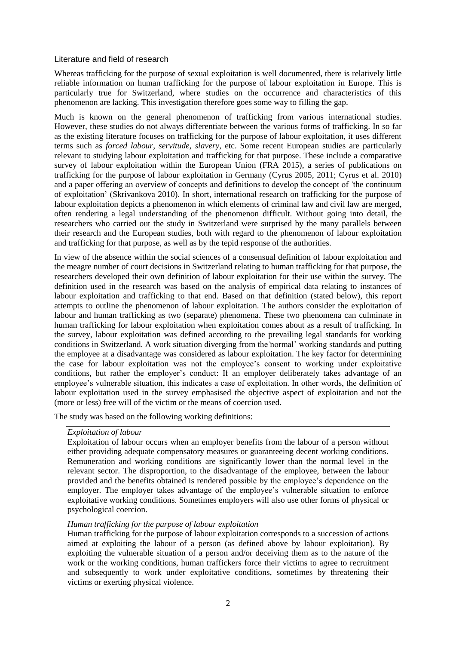# Literature and field of research

Whereas trafficking for the purpose of sexual exploitation is well documented, there is relatively little reliable information on human trafficking for the purpose of labour exploitation in Europe. This is particularly true for Switzerland, where studies on the occurrence and characteristics of this phenomenon are lacking. This investigation therefore goes some way to filling the gap.

Much is known on the general phenomenon of trafficking from various international studies. However, these studies do not always differentiate between the various forms of trafficking. In so far as the existing literature focuses on trafficking for the purpose of labour exploitation, it uses different terms such as *forced labour*, *servitude*, *slavery*, etc. Some recent European studies are particularly relevant to studying labour exploitation and trafficking for that purpose. These include a comparative survey of labour exploitation within the European Union [\(FRA 2015\)](#page-5-2), a series of publications on trafficking for the purpose of labour exploitation in Germany [\(Cyrus 2005,](#page-5-3) [2011;](#page-5-4) [Cyrus et al. 2010\)](#page-5-0) and a paper offering an overview of concepts and definitions to develop the concept of 'the continuum of exploitation' [\(Skrivankova 2010\)](#page-5-5). In short, international research on trafficking for the purpose of labour exploitation depicts a phenomenon in which elements of criminal law and civil law are merged, often rendering a legal understanding of the phenomenon difficult. Without going into detail, the researchers who carried out the study in Switzerland were surprised by the many parallels between their research and the European studies, both with regard to the phenomenon of labour exploitation and trafficking for that purpose, as well as by the tepid response of the authorities.

In view of the absence within the social sciences of a consensual definition of labour exploitation and the meagre number of court decisions in Switzerland relating to human trafficking for that purpose, the researchers developed their own definition of labour exploitation for their use within the survey. The definition used in the research was based on the analysis of empirical data relating to instances of labour exploitation and trafficking to that end. Based on that definition (stated below), this report attempts to outline the phenomenon of labour exploitation. The authors consider the exploitation of labour and human trafficking as two (separate) phenomena. These two phenomena can culminate in human trafficking for labour exploitation when exploitation comes about as a result of trafficking. In the survey, labour exploitation was defined according to the prevailing legal standards for working conditions in Switzerland. A work situation diverging from the normal' working standards and putting the employee at a disadvantage was considered as labour exploitation. The key factor for determining the case for labour exploitation was not the employee's consent to working under exploitative conditions, but rather the employer's conduct: If an employer deliberately takes advantage of an employee's vulnerable situation, this indicates a case of exploitation. In other words, the definition of labour exploitation used in the survey emphasised the objective aspect of exploitation and not the (more or less) free will of the victim or the means of coercion used.

The study was based on the following working definitions:

## *Exploitation of labour*

Exploitation of labour occurs when an employer benefits from the labour of a person without either providing adequate compensatory measures or guaranteeing decent working conditions. Remuneration and working conditions are significantly lower than the normal level in the relevant sector. The disproportion, to the disadvantage of the employee, between the labour provided and the benefits obtained is rendered possible by the employee's dependence on the employer. The employer takes advantage of the employee's vulnerable situation to enforce exploitative working conditions. Sometimes employers will also use other forms of physical or psychological coercion.

## *Human trafficking for the purpose of labour exploitation*

Human trafficking for the purpose of labour exploitation corresponds to a succession of actions aimed at exploiting the labour of a person (as defined above by labour exploitation). By exploiting the vulnerable situation of a person and/or deceiving them as to the nature of the work or the working conditions, human traffickers force their victims to agree to recruitment and subsequently to work under exploitative conditions, sometimes by threatening their victims or exerting physical violence.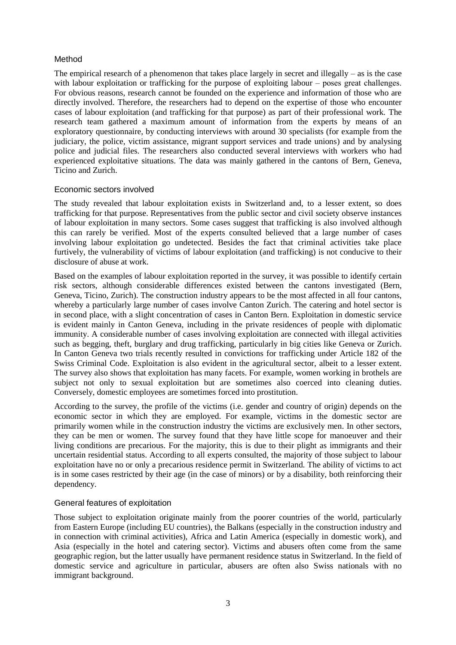# Method

The empirical research of a phenomenon that takes place largely in secret and illegally  $-$  as is the case with labour exploitation or trafficking for the purpose of exploiting labour – poses great challenges. For obvious reasons, research cannot be founded on the experience and information of those who are directly involved. Therefore, the researchers had to depend on the expertise of those who encounter cases of labour exploitation (and trafficking for that purpose) as part of their professional work. The research team gathered a maximum amount of information from the experts by means of an exploratory questionnaire, by conducting interviews with around 30 specialists (for example from the judiciary, the police, victim assistance, migrant support services and trade unions) and by analysing police and judicial files. The researchers also conducted several interviews with workers who had experienced exploitative situations. The data was mainly gathered in the cantons of Bern, Geneva, Ticino and Zurich.

## Economic sectors involved

The study revealed that labour exploitation exists in Switzerland and, to a lesser extent, so does trafficking for that purpose. Representatives from the public sector and civil society observe instances of labour exploitation in many sectors. Some cases suggest that trafficking is also involved although this can rarely be verified. Most of the experts consulted believed that a large number of cases involving labour exploitation go undetected. Besides the fact that criminal activities take place furtively, the vulnerability of victims of labour exploitation (and trafficking) is not conducive to their disclosure of abuse at work.

Based on the examples of labour exploitation reported in the survey, it was possible to identify certain risk sectors, although considerable differences existed between the cantons investigated (Bern, Geneva, Ticino, Zurich). The construction industry appears to be the most affected in all four cantons, whereby a particularly large number of cases involve Canton Zurich. The catering and hotel sector is in second place, with a slight concentration of cases in Canton Bern. Exploitation in domestic service is evident mainly in Canton Geneva, including in the private residences of people with diplomatic immunity. A considerable number of cases involving exploitation are connected with illegal activities such as begging, theft, burglary and drug trafficking, particularly in big cities like Geneva or Zurich. In Canton Geneva two trials recently resulted in convictions for trafficking under Article 182 of the Swiss Criminal Code. Exploitation is also evident in the agricultural sector, albeit to a lesser extent. The survey also shows that exploitation has many facets. For example, women working in brothels are subject not only to sexual exploitation but are sometimes also coerced into cleaning duties. Conversely, domestic employees are sometimes forced into prostitution.

According to the survey, the profile of the victims (i.e. gender and country of origin) depends on the economic sector in which they are employed. For example, victims in the domestic sector are primarily women while in the construction industry the victims are exclusively men. In other sectors, they can be men or women. The survey found that they have little scope for manoeuver and their living conditions are precarious. For the majority, this is due to their plight as immigrants and their uncertain residential status. According to all experts consulted, the majority of those subject to labour exploitation have no or only a precarious residence permit in Switzerland. The ability of victims to act is in some cases restricted by their age (in the case of minors) or by a disability, both reinforcing their dependency.

# General features of exploitation

Those subject to exploitation originate mainly from the poorer countries of the world, particularly from Eastern Europe (including EU countries), the Balkans (especially in the construction industry and in connection with criminal activities), Africa and Latin America (especially in domestic work), and Asia (especially in the hotel and catering sector). Victims and abusers often come from the same geographic region, but the latter usually have permanent residence status in Switzerland. In the field of domestic service and agriculture in particular, abusers are often also Swiss nationals with no immigrant background.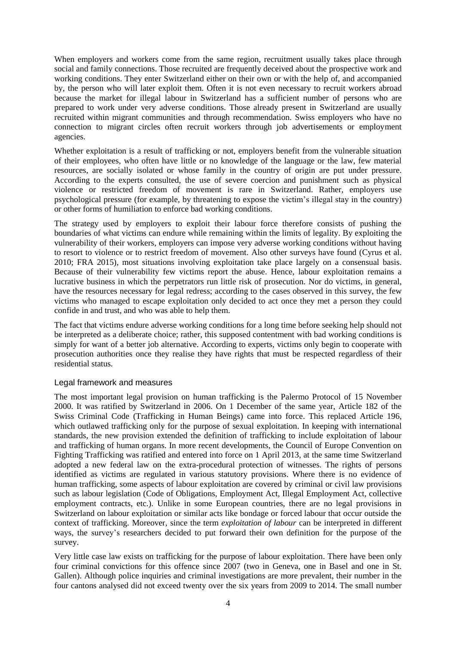When employers and workers come from the same region, recruitment usually takes place through social and family connections. Those recruited are frequently deceived about the prospective work and working conditions. They enter Switzerland either on their own or with the help of, and accompanied by, the person who will later exploit them. Often it is not even necessary to recruit workers abroad because the market for illegal labour in Switzerland has a sufficient number of persons who are prepared to work under very adverse conditions. Those already present in Switzerland are usually recruited within migrant communities and through recommendation. Swiss employers who have no connection to migrant circles often recruit workers through job advertisements or employment agencies.

Whether exploitation is a result of trafficking or not, employers benefit from the vulnerable situation of their employees, who often have little or no knowledge of the language or the law, few material resources, are socially isolated or whose family in the country of origin are put under pressure. According to the experts consulted, the use of severe coercion and punishment such as physical violence or restricted freedom of movement is rare in Switzerland. Rather, employers use psychological pressure (for example, by threatening to expose the victim's illegal stay in the country) or other forms of humiliation to enforce bad working conditions.

The strategy used by employers to exploit their labour force therefore consists of pushing the boundaries of what victims can endure while remaining within the limits of legality. By exploiting the vulnerability of their workers, employers can impose very adverse working conditions without having to resort to violence or to restrict freedom of movement. Also other surveys have found [\(Cyrus et al.](#page-5-0)  [2010;](#page-5-0) [FRA 2015\)](#page-5-2), most situations involving exploitation take place largely on a consensual basis. Because of their vulnerability few victims report the abuse. Hence, labour exploitation remains a lucrative business in which the perpetrators run little risk of prosecution. Nor do victims, in general, have the resources necessary for legal redress; according to the cases observed in this survey, the few victims who managed to escape exploitation only decided to act once they met a person they could confide in and trust, and who was able to help them.

The fact that victims endure adverse working conditions for a long time before seeking help should not be interpreted as a deliberate choice; rather, this supposed contentment with bad working conditions is simply for want of a better job alternative. According to experts, victims only begin to cooperate with prosecution authorities once they realise they have rights that must be respected regardless of their residential status.

## Legal framework and measures

The most important legal provision on human trafficking is the Palermo Protocol of 15 November 2000. It was ratified by Switzerland in 2006. On 1 December of the same year, Article 182 of the Swiss Criminal Code (Trafficking in Human Beings) came into force. This replaced Article 196, which outlawed trafficking only for the purpose of sexual exploitation. In keeping with international standards, the new provision extended the definition of trafficking to include exploitation of labour and trafficking of human organs. In more recent developments, the Council of Europe Convention on Fighting Trafficking was ratified and entered into force on 1 April 2013, at the same time Switzerland adopted a new federal law on the extra-procedural protection of witnesses. The rights of persons identified as victims are regulated in various statutory provisions. Where there is no evidence of human trafficking, some aspects of labour exploitation are covered by criminal or civil law provisions such as labour legislation (Code of Obligations, Employment Act, Illegal Employment Act, collective employment contracts, etc.). Unlike in some European countries, there are no legal provisions in Switzerland on labour exploitation or similar acts like bondage or forced labour that occur outside the context of trafficking. Moreover, since the term *exploitation of labour* can be interpreted in different ways, the survey's researchers decided to put forward their own definition for the purpose of the survey.

Very little case law exists on trafficking for the purpose of labour exploitation. There have been only four criminal convictions for this offence since 2007 (two in Geneva, one in Basel and one in St. Gallen). Although police inquiries and criminal investigations are more prevalent, their number in the four cantons analysed did not exceed twenty over the six years from 2009 to 2014. The small number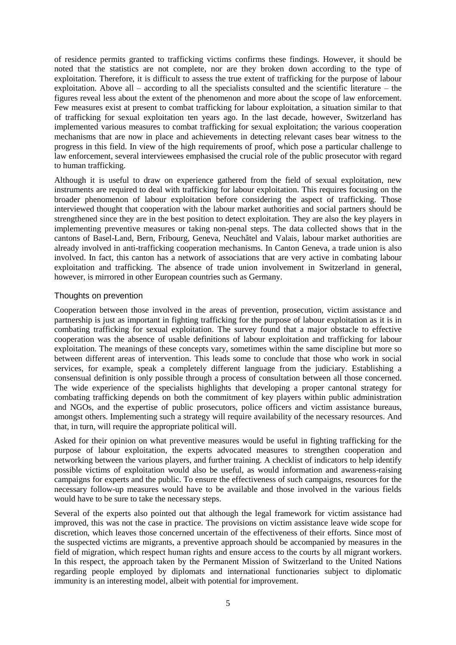of residence permits granted to trafficking victims confirms these findings. However, it should be noted that the statistics are not complete, nor are they broken down according to the type of exploitation. Therefore, it is difficult to assess the true extent of trafficking for the purpose of labour exploitation. Above all  $-$  according to all the specialists consulted and the scientific literature  $-$  the figures reveal less about the extent of the phenomenon and more about the scope of law enforcement. Few measures exist at present to combat trafficking for labour exploitation, a situation similar to that of trafficking for sexual exploitation ten years ago. In the last decade, however, Switzerland has implemented various measures to combat trafficking for sexual exploitation; the various cooperation mechanisms that are now in place and achievements in detecting relevant cases bear witness to the progress in this field. In view of the high requirements of proof, which pose a particular challenge to law enforcement, several interviewees emphasised the crucial role of the public prosecutor with regard to human trafficking.

Although it is useful to draw on experience gathered from the field of sexual exploitation, new instruments are required to deal with trafficking for labour exploitation. This requires focusing on the broader phenomenon of labour exploitation before considering the aspect of trafficking. Those interviewed thought that cooperation with the labour market authorities and social partners should be strengthened since they are in the best position to detect exploitation. They are also the key players in implementing preventive measures or taking non-penal steps. The data collected shows that in the cantons of Basel-Land, Bern, Fribourg, Geneva, Neuchâtel and Valais, labour market authorities are already involved in anti-trafficking cooperation mechanisms. In Canton Geneva, a trade union is also involved. In fact, this canton has a network of associations that are very active in combating labour exploitation and trafficking. The absence of trade union involvement in Switzerland in general, however, is mirrored in other European countries such as Germany.

## Thoughts on prevention

Cooperation between those involved in the areas of prevention, prosecution, victim assistance and partnership is just as important in fighting trafficking for the purpose of labour exploitation as it is in combating trafficking for sexual exploitation. The survey found that a major obstacle to effective cooperation was the absence of usable definitions of labour exploitation and trafficking for labour exploitation. The meanings of these concepts vary, sometimes within the same discipline but more so between different areas of intervention. This leads some to conclude that those who work in social services, for example, speak a completely different language from the judiciary. Establishing a consensual definition is only possible through a process of consultation between all those concerned. The wide experience of the specialists highlights that developing a proper cantonal strategy for combating trafficking depends on both the commitment of key players within public administration and NGOs, and the expertise of public prosecutors, police officers and victim assistance bureaus, amongst others. Implementing such a strategy will require availability of the necessary resources. And that, in turn, will require the appropriate political will.

Asked for their opinion on what preventive measures would be useful in fighting trafficking for the purpose of labour exploitation, the experts advocated measures to strengthen cooperation and networking between the various players, and further training. A checklist of indicators to help identify possible victims of exploitation would also be useful, as would information and awareness-raising campaigns for experts and the public. To ensure the effectiveness of such campaigns, resources for the necessary follow-up measures would have to be available and those involved in the various fields would have to be sure to take the necessary steps.

Several of the experts also pointed out that although the legal framework for victim assistance had improved, this was not the case in practice. The provisions on victim assistance leave wide scope for discretion, which leaves those concerned uncertain of the effectiveness of their efforts. Since most of the suspected victims are migrants, a preventive approach should be accompanied by measures in the field of migration, which respect human rights and ensure access to the courts by all migrant workers. In this respect, the approach taken by the Permanent Mission of Switzerland to the United Nations regarding people employed by diplomats and international functionaries subject to diplomatic immunity is an interesting model, albeit with potential for improvement.